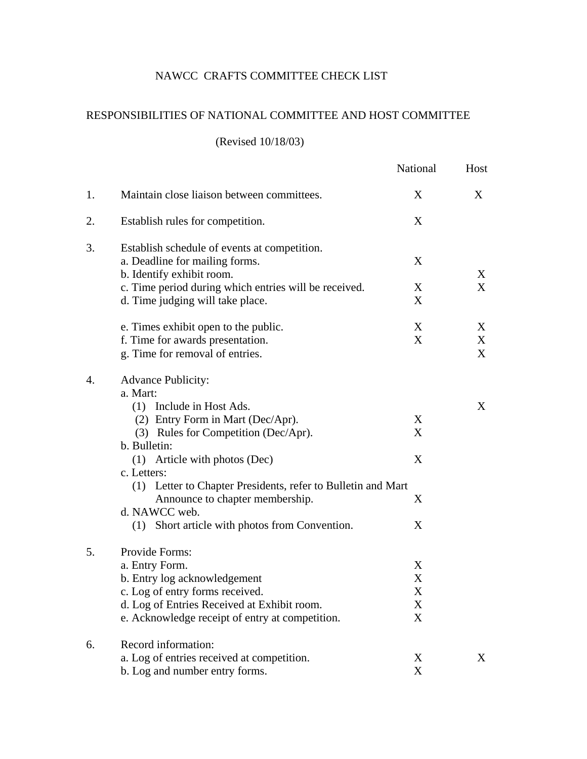## NAWCC CRAFTS COMMITTEE CHECK LIST

## RESPONSIBILITIES OF NATIONAL COMMITTEE AND HOST COMMITTEE

## (Revised 10/18/03)

|    |                                                                                                                                                                                                                    | National              | Host              |
|----|--------------------------------------------------------------------------------------------------------------------------------------------------------------------------------------------------------------------|-----------------------|-------------------|
| 1. | Maintain close liaison between committees.                                                                                                                                                                         | X                     | X                 |
| 2. | Establish rules for competition.                                                                                                                                                                                   | X                     |                   |
| 3. | Establish schedule of events at competition.<br>a. Deadline for mailing forms.<br>b. Identify exhibit room.                                                                                                        | X                     | X                 |
|    | c. Time period during which entries will be received.<br>d. Time judging will take place.                                                                                                                          | X<br>X                | $X_{\mathcal{C}}$ |
|    | e. Times exhibit open to the public.<br>f. Time for awards presentation.<br>g. Time for removal of entries.                                                                                                        | X<br>X                | X<br>X<br>X       |
| 4. | <b>Advance Publicity:</b><br>a. Mart:<br>(1) Include in Host Ads.<br>(2) Entry Form in Mart (Dec/Apr).<br>(3) Rules for Competition (Dec/Apr).<br>b. Bulletin:                                                     | X<br>X                | X                 |
|    | (1) Article with photos (Dec)<br>c. Letters:<br>(1) Letter to Chapter Presidents, refer to Bulletin and Mart<br>Announce to chapter membership.<br>d. NAWCC web.<br>(1) Short article with photos from Convention. | X<br>X<br>X           |                   |
| 5. | Provide Forms:<br>a. Entry Form.<br>b. Entry log acknowledgement<br>c. Log of entry forms received.<br>d. Log of Entries Received at Exhibit room.<br>e. Acknowledge receipt of entry at competition.              | X<br>X<br>X<br>X<br>X |                   |
| 6. | Record information:<br>a. Log of entries received at competition.<br>b. Log and number entry forms.                                                                                                                | X<br>X                | X                 |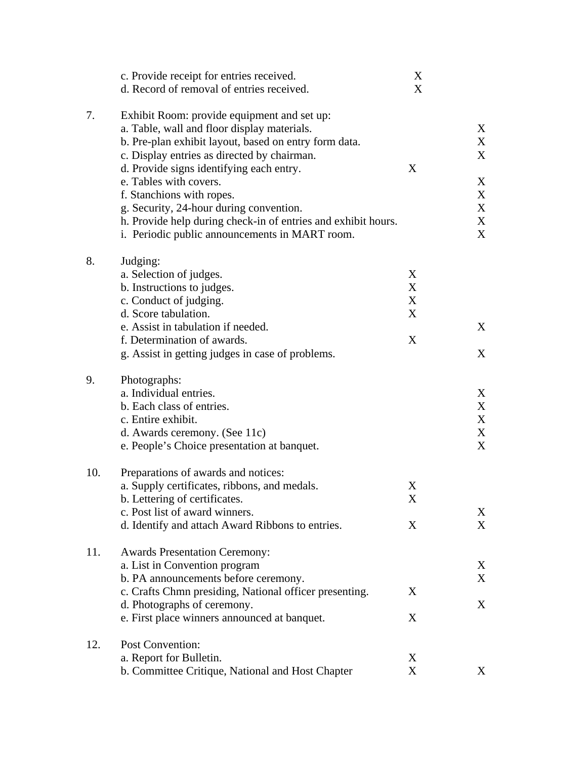|     | c. Provide receipt for entries received.<br>d. Record of removal of entries received.                                                                                                                                                                                                                                                                                                                                                                               | X<br>X                |                                      |
|-----|---------------------------------------------------------------------------------------------------------------------------------------------------------------------------------------------------------------------------------------------------------------------------------------------------------------------------------------------------------------------------------------------------------------------------------------------------------------------|-----------------------|--------------------------------------|
| 7.  | Exhibit Room: provide equipment and set up:<br>a. Table, wall and floor display materials.<br>b. Pre-plan exhibit layout, based on entry form data.<br>c. Display entries as directed by chairman.<br>d. Provide signs identifying each entry.<br>e. Tables with covers.<br>f. Stanchions with ropes.<br>g. Security, 24-hour during convention.<br>h. Provide help during check-in of entries and exhibit hours.<br>i. Periodic public announcements in MART room. | X                     | X<br>X<br>X<br>X<br>X<br>X<br>X<br>X |
| 8.  | Judging:<br>a. Selection of judges.<br>b. Instructions to judges.<br>c. Conduct of judging.<br>d. Score tabulation.<br>e. Assist in tabulation if needed.<br>f. Determination of awards.<br>g. Assist in getting judges in case of problems.                                                                                                                                                                                                                        | X<br>X<br>X<br>X<br>X | X<br>X                               |
| 9.  | Photographs:<br>a. Individual entries.<br>b. Each class of entries.<br>c. Entire exhibit.<br>d. Awards ceremony. (See 11c)<br>e. People's Choice presentation at banquet.                                                                                                                                                                                                                                                                                           |                       | X<br>X<br>X<br>X<br>X                |
| 10. | Preparations of awards and notices:<br>a. Supply certificates, ribbons, and medals.<br>b. Lettering of certificates.<br>c. Post list of award winners.<br>d. Identify and attach Award Ribbons to entries.                                                                                                                                                                                                                                                          | X<br>X<br>X           | X<br>X                               |
| 11. | <b>Awards Presentation Ceremony:</b><br>a. List in Convention program<br>b. PA announcements before ceremony.<br>c. Crafts Chmn presiding, National officer presenting.<br>d. Photographs of ceremony.<br>e. First place winners announced at banquet.                                                                                                                                                                                                              | X<br>X                | X<br>X<br>X                          |
| 12. | <b>Post Convention:</b><br>a. Report for Bulletin.<br>b. Committee Critique, National and Host Chapter                                                                                                                                                                                                                                                                                                                                                              | X<br>X                | X                                    |